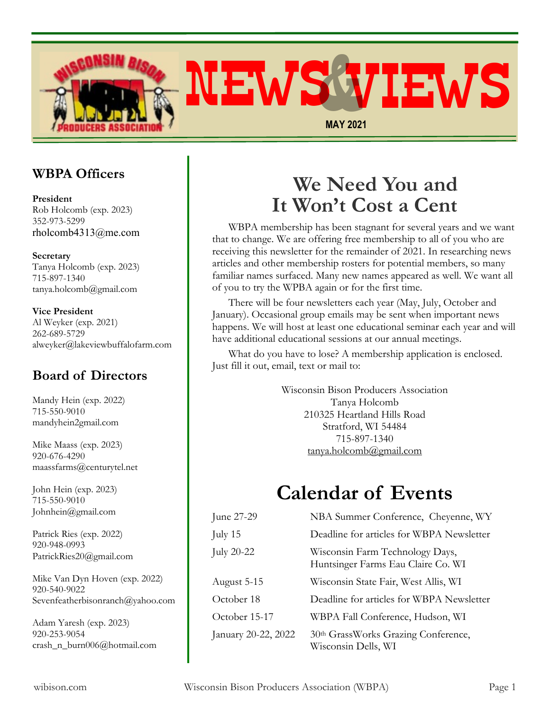

### **WBPA Officers**

**President** Rob Holcomb (exp. 2023) 352-973-5299 rholcomb4313@me.com

**Secretary** Tanya Holcomb (exp. 2023) 715-897-1340 tanya.holcomb@gmail.com

#### **Vice President**

Al Weyker (exp. 2021) 262-689-5729 alweyker@lakeviewbuffalofarm.com

### **Board of Directors**

Mandy Hein (exp. 2022) 715-550-9010 mandyhein2gmail.com

Mike Maass (exp. 2023) 920-676-4290 maassfarms@centurytel.net

John Hein (exp. 2023) 715-550-9010 Johnhein@gmail.com

Patrick Ries (exp. 2022) 920-948-0993 PatrickRies20@gmail.com

Mike Van Dyn Hoven (exp. 2022) 920-540-9022 Sevenfeatherbisonranch@yahoo.com

Adam Yaresh (exp. 2023) 920-253-9054 crash\_n\_burn006@hotmail.com

# **We Need You and It Won't Cost a Cent**

WBPA membership has been stagnant for several years and we want that to change. We are offering free membership to all of you who are receiving this newsletter for the remainder of 2021. In researching news articles and other membership rosters for potential members, so many familiar names surfaced. Many new names appeared as well. We want all of you to try the WPBA again or for the first time.

There will be four newsletters each year (May, July, October and January). Occasional group emails may be sent when important news happens. We will host at least one educational seminar each year and will have additional educational sessions at our annual meetings.

What do you have to lose? A membership application is enclosed. Just fill it out, email, text or mail to:

> Wisconsin Bison Producers Association Tanya Holcomb 210325 Heartland Hills Road Stratford, WI 54484 715-897-1340 tanya.holcomb@gmail.com

# **Calendar of Events**

| June 27-29          | NBA Summer Conference, Cheyenne, WY                                   |
|---------------------|-----------------------------------------------------------------------|
| July 15             | Deadline for articles for WBPA Newsletter                             |
| July 20-22          | Wisconsin Farm Technology Days,<br>Huntsinger Farms Eau Claire Co. WI |
| August 5-15         | Wisconsin State Fair, West Allis, WI                                  |
| October 18          | Deadline for articles for WBPA Newsletter                             |
| October 15-17       | WBPA Fall Conference, Hudson, WI                                      |
| January 20-22, 2022 | 30th GrassWorks Grazing Conference,<br>Wisconsin Dells, WI            |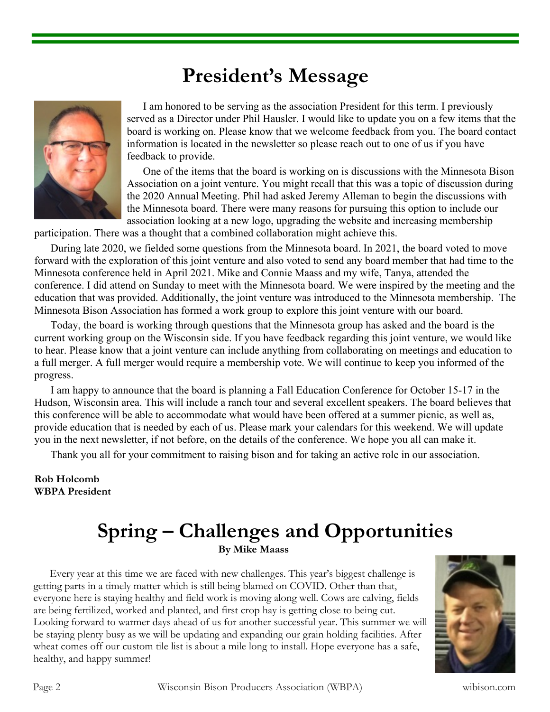# **President's Message**



I am honored to be serving as the association President for this term. I previously served as a Director under Phil Hausler. I would like to update you on a few items that the board is working on. Please know that we welcome feedback from you. The board contact information is located in the newsletter so please reach out to one of us if you have feedback to provide.

One of the items that the board is working on is discussions with the Minnesota Bison Association on a joint venture. You might recall that this was a topic of discussion during the 2020 Annual Meeting. Phil had asked Jeremy Alleman to begin the discussions with the Minnesota board. There were many reasons for pursuing this option to include our association looking at a new logo, upgrading the website and increasing membership

participation. There was a thought that a combined collaboration might achieve this.

During late 2020, we fielded some questions from the Minnesota board. In 2021, the board voted to move forward with the exploration of this joint venture and also voted to send any board member that had time to the Minnesota conference held in April 2021. Mike and Connie Maass and my wife, Tanya, attended the conference. I did attend on Sunday to meet with the Minnesota board. We were inspired by the meeting and the education that was provided. Additionally, the joint venture was introduced to the Minnesota membership. The Minnesota Bison Association has formed a work group to explore this joint venture with our board.

Today, the board is working through questions that the Minnesota group has asked and the board is the current working group on the Wisconsin side. If you have feedback regarding this joint venture, we would like to hear. Please know that a joint venture can include anything from collaborating on meetings and education to a full merger. A full merger would require a membership vote. We will continue to keep you informed of the progress.

I am happy to announce that the board is planning a Fall Education Conference for October 15-17 in the Hudson, Wisconsin area. This will include a ranch tour and several excellent speakers. The board believes that this conference will be able to accommodate what would have been offered at a summer picnic, as well as, provide education that is needed by each of us. Please mark your calendars for this weekend. We will update you in the next newsletter, if not before, on the details of the conference. We hope you all can make it.

Thank you all for your commitment to raising bison and for taking an active role in our association.

#### **Rob Holcomb WBPA President**

### **Spring – Challenges and Opportunities By Mike Maass**

Every year at this time we are faced with new challenges. This year's biggest challenge is getting parts in a timely matter which is still being blamed on COVID. Other than that, everyone here is staying healthy and field work is moving along well. Cows are calving, fields are being fertilized, worked and planted, and first crop hay is getting close to being cut. Looking forward to warmer days ahead of us for another successful year. This summer we will be staying plenty busy as we will be updating and expanding our grain holding facilities. After wheat comes off our custom tile list is about a mile long to install. Hope everyone has a safe, healthy, and happy summer!



Page 2 Wisconsin Bison Producers Association (WBPA) wibison.com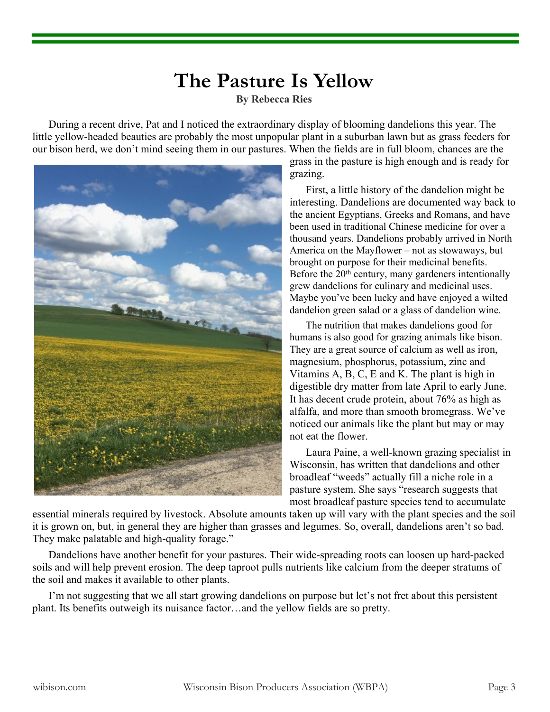## **The Pasture Is Yellow**

**By Rebecca Ries**

During a recent drive, Pat and I noticed the extraordinary display of blooming dandelions this year. The little yellow-headed beauties are probably the most unpopular plant in a suburban lawn but as grass feeders for our bison herd, we don't mind seeing them in our pastures. When the fields are in full bloom, chances are the



grass in the pasture is high enough and is ready for grazing.

First, a little history of the dandelion might be interesting. Dandelions are documented way back to the ancient Egyptians, Greeks and Romans, and have been used in traditional Chinese medicine for over a thousand years. Dandelions probably arrived in North America on the Mayflower – not as stowaways, but brought on purpose for their medicinal benefits. Before the 20<sup>th</sup> century, many gardeners intentionally grew dandelions for culinary and medicinal uses. Maybe you've been lucky and have enjoyed a wilted dandelion green salad or a glass of dandelion wine.

The nutrition that makes dandelions good for humans is also good for grazing animals like bison. They are a great source of calcium as well as iron, magnesium, phosphorus, potassium, zinc and Vitamins A, B, C, E and K. The plant is high in digestible dry matter from late April to early June. It has decent crude protein, about 76% as high as alfalfa, and more than smooth bromegrass. We've noticed our animals like the plant but may or may not eat the flower.

Laura Paine, a well-known grazing specialist in Wisconsin, has written that dandelions and other broadleaf "weeds" actually fill a niche role in a pasture system. She says "research suggests that most broadleaf pasture species tend to accumulate

essential minerals required by livestock. Absolute amounts taken up will vary with the plant species and the soil it is grown on, but, in general they are higher than grasses and legumes. So, overall, dandelions aren't so bad. They make palatable and high-quality forage."

Dandelions have another benefit for your pastures. Their wide-spreading roots can loosen up hard-packed soils and will help prevent erosion. The deep taproot pulls nutrients like calcium from the deeper stratums of the soil and makes it available to other plants.

I'm not suggesting that we all start growing dandelions on purpose but let's not fret about this persistent plant. Its benefits outweigh its nuisance factor…and the yellow fields are so pretty.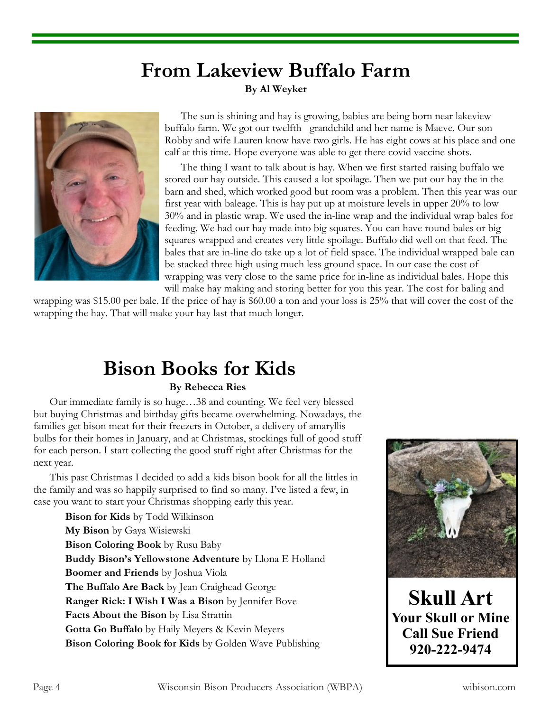### **From Lakeview Buffalo Farm By Al Weyker**



The sun is shining and hay is growing, babies are being born near lakeview buffalo farm. We got our twelfth grandchild and her name is Maeve. Our son Robby and wife Lauren know have two girls. He has eight cows at his place and one calf at this time. Hope everyone was able to get there covid vaccine shots.

The thing I want to talk about is hay. When we first started raising buffalo we stored our hay outside. This caused a lot spoilage. Then we put our hay the in the barn and shed, which worked good but room was a problem. Then this year was our first year with baleage. This is hay put up at moisture levels in upper 20% to low 30% and in plastic wrap. We used the in-line wrap and the individual wrap bales for feeding. We had our hay made into big squares. You can have round bales or big squares wrapped and creates very little spoilage. Buffalo did well on that feed. The bales that are in-line do take up a lot of field space. The individual wrapped bale can be stacked three high using much less ground space. In our case the cost of wrapping was very close to the same price for in-line as individual bales. Hope this will make hay making and storing better for you this year. The cost for baling and

wrapping was \$15.00 per bale. If the price of hay is \$60.00 a ton and your loss is 25% that will cover the cost of the wrapping the hay. That will make your hay last that much longer.

# **Bison Books for Kids**

#### **By Rebecca Ries**

Our immediate family is so huge…38 and counting. We feel very blessed but buying Christmas and birthday gifts became overwhelming. Nowadays, the families get bison meat for their freezers in October, a delivery of amaryllis bulbs for their homes in January, and at Christmas, stockings full of good stuff for each person. I start collecting the good stuff right after Christmas for the next year.

This past Christmas I decided to add a kids bison book for all the littles in the family and was so happily surprised to find so many. I've listed a few, in case you want to start your Christmas shopping early this year.

**Bison for Kids** by Todd Wilkinson **My Bison** by Gaya Wisiewski **Bison Coloring Book** by Rusu Baby **Buddy Bison's Yellowstone Adventure** by Llona E Holland **Boomer and Friends** by Joshua Viola **The Buffalo Are Back** by Jean Craighead George **Ranger Rick: I Wish I Was a Bison** by Jennifer Bove **Facts About the Bison** by Lisa Strattin **Gotta Go Buffalo** by Haily Meyers & Kevin Meyers **Bison Coloring Book for Kids** by Golden Wave Publishing



**Skull Art Your Skull or Mine Call Sue Friend 920-222-9474**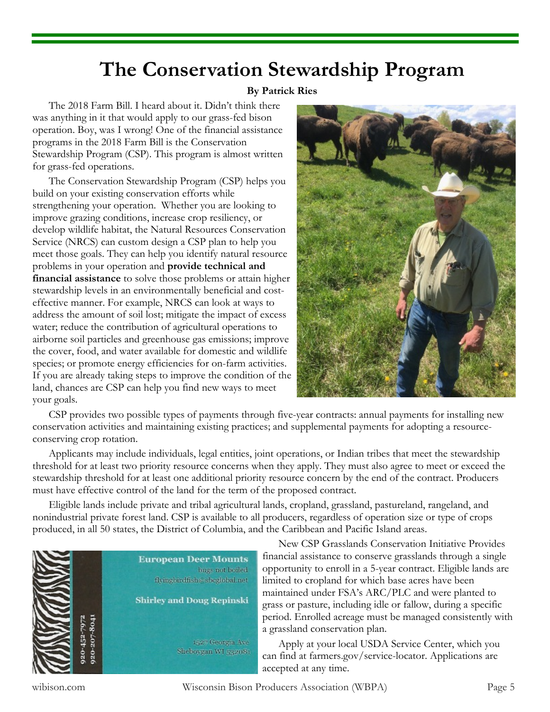### **The Conservation Stewardship Program**

#### **By Patrick Ries**

The 2018 Farm Bill. I heard about it. Didn't think there was anything in it that would apply to our grass-fed bison operation. Boy, was I wrong! One of the financial assistance programs in the 2018 Farm Bill is the Conservation Stewardship Program (CSP). This program is almost written for grass-fed operations.

The Conservation Stewardship Program (CSP) helps you build on your existing conservation efforts while strengthening your operation. Whether you are looking to improve grazing conditions, increase crop resiliency, or develop wildlife habitat, the Natural Resources Conservation Service (NRCS) can custom design a CSP plan to help you meet those goals. They can help you identify natural resource problems in your operation and **provide technical and financial assistance** to solve those problems or attain higher stewardship levels in an environmentally beneficial and costeffective manner. For example, NRCS can look at ways to address the amount of soil lost; mitigate the impact of excess water; reduce the contribution of agricultural operations to airborne soil particles and greenhouse gas emissions; improve the cover, food, and water available for domestic and wildlife species; or promote energy efficiencies for on-farm activities. If you are already taking steps to improve the condition of the land, chances are CSP can help you find new ways to meet your goals.



CSP provides two possible types of payments through five-year contracts: annual payments for installing new conservation activities and maintaining existing practices; and supplemental payments for adopting a resourceconserving crop rotation.

Applicants may include individuals, legal entities, joint operations, or Indian tribes that meet the stewardship threshold for at least two priority resource concerns when they apply. They must also agree to meet or exceed the stewardship threshold for at least one additional priority resource concern by the end of the contract. Producers must have effective control of the land for the term of the proposed contract.

Eligible lands include private and tribal agricultural lands, cropland, grassland, pastureland, rangeland, and nonindustrial private forest land. CSP is available to all producers, regardless of operation size or type of crops produced, in all 50 states, the District of Columbia, and the Caribbean and Pacific Island areas.



New CSP Grasslands Conservation Initiative Provides financial assistance to conserve grasslands through a single opportunity to enroll in a 5-year contract. Eligible lands are limited to cropland for which base acres have been maintained under FSA's ARC/PLC and were planted to grass or pasture, including idle or fallow, during a specific period. Enrolled acreage must be managed consistently with a grassland conservation plan.

Apply at your local USDA Service Center, which you can find at farmers.gov/service-locator. Applications are accepted at any time.

wibison.com Wisconsin Bison Producers Association (WBPA) Page 5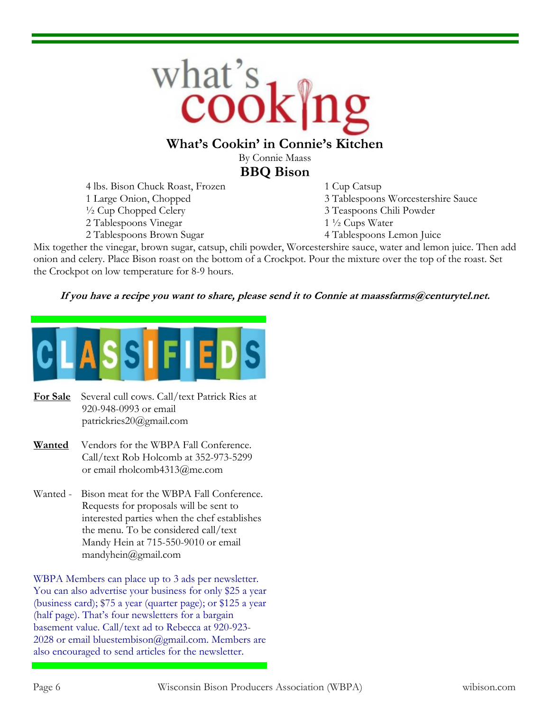

#### **What's Cookin' in Connie's Kitchen**

By Connie Maass **BBQ Bison**

4 lbs. Bison Chuck Roast, Frozen 1 Cup Catsup <sup>1</sup>/2 Cup Chopped Celery 3 Teaspoons Chili Powder 2 Tablespoons Vinegar 1 <sup>1</sup>/<sub>2</sub> Cups Water 2 Tablespoons Brown Sugar 4 Tablespoons Lemon Juice

1 Large Onion, Chopped 3 Tablespoons Worcestershire Sauce

- 
- 
- 

Mix together the vinegar, brown sugar, catsup, chili powder, Worcestershire sauce, water and lemon juice. Then add onion and celery. Place Bison roast on the bottom of a Crockpot. Pour the mixture over the top of the roast. Set the Crockpot on low temperature for 8-9 hours.

#### If you have a recipe you want to share, please send it to Connie at maassfarms@centurytel.net.



- **For Sale** Several cull cows. Call/text Patrick Ries at 920-948-0993 or email patrickries20@gmail.com
- **Wanted** Vendors for the WBPA Fall Conference. Call/text Rob Holcomb at 352-973-5299 or email rholcomb4313@me.com
- Wanted Bison meat for the WBPA Fall Conference. Requests for proposals will be sent to interested parties when the chef establishes the menu. To be considered call/text Mandy Hein at 715-550-9010 or email mandyhein@gmail.com

WBPA Members can place up to 3 ads per newsletter. You can also advertise your business for only \$25 a year (business card); \$75 a year (quarter page); or \$125 a year (half page). That's four newsletters for a bargain basement value. Call/text ad to Rebecca at 920-923- 2028 or email bluestembison@gmail.com. Members are also encouraged to send articles for the newsletter.